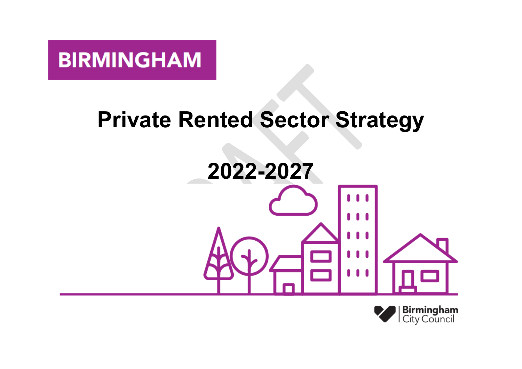# **BIRMINGHAM**

# **Private Rented Sector Strategy**



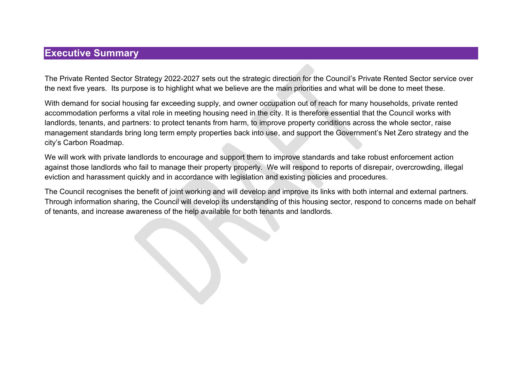### **Executive Summary**

The Private Rented Sector Strategy 2022-2027 sets out the strategic direction for the Council's Private Rented Sector service over the next five years. Its purpose is to highlight what we believe are the main priorities and what will be done to meet these.

With demand for social housing far exceeding supply, and owner occupation out of reach for many households, private rented accommodation performs a vital role in meeting housing need in the city. It is therefore essential that the Council works with landlords, tenants, and partners: to protect tenants from harm, to improve property conditions across the whole sector, raise management standards bring long term empty properties back into use, and support the Government's Net Zero strategy and the city's Carbon Roadmap.

We will work with private landlords to encourage and support them to improve standards and take robust enforcement action against those landlords who fail to manage their property properly. We will respond to reports of disrepair, overcrowding, illegal eviction and harassment quickly and in accordance with legislation and existing policies and procedures.

The Council recognises the benefit of joint working and will develop and improve its links with both internal and external partners. Through information sharing, the Council will develop its understanding of this housing sector, respond to concerns made on behalf of tenants, and increase awareness of the help available for both tenants and landlords.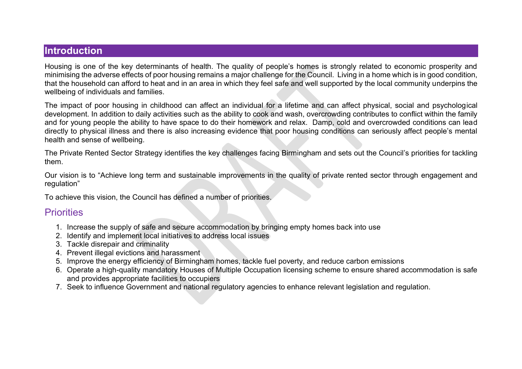#### **Introduction**

Housing is one of the key determinants of health. The quality of people's homes is strongly related to economic prosperity and minimising the adverse effects of poor housing remains a major challenge for the Council. Living in a home which is in good condition, that the household can afford to heat and in an area in which they feel safe and well supported by the local community underpins the wellbeing of individuals and families.

The impact of poor housing in childhood can affect an individual for a lifetime and can affect physical, social and psychological development. In addition to daily activities such as the ability to cook and wash, overcrowding contributes to conflict within the family and for young people the ability to have space to do their homework and relax. Damp, cold and overcrowded conditions can lead directly to physical illness and there is also increasing evidence that poor housing conditions can seriously affect people's mental health and sense of wellbeing.

The Private Rented Sector Strategy identifies the key challenges facing Birmingham and sets out the Council's priorities for tackling them.

Our vision is to "Achieve long term and sustainable improvements in the quality of private rented sector through engagement and regulation"

To achieve this vision, the Council has defined a number of priorities.

### **Priorities**

- 1. Increase the supply of safe and secure accommodation by bringing empty homes back into use
- 2. Identify and implement local initiatives to address local issues
- 3. Tackle disrepair and criminality
- 4. Prevent illegal evictions and harassment
- 5. Improve the energy efficiency of Birmingham homes, tackle fuel poverty, and reduce carbon emissions
- 6. Operate a high-quality mandatory Houses of Multiple Occupation licensing scheme to ensure shared accommodation is safe and provides appropriate facilities to occupiers
- 7. Seek to influence Government and national regulatory agencies to enhance relevant legislation and regulation.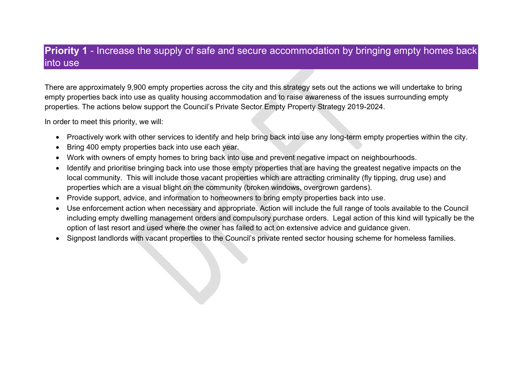## **Priority 1** - Increase the supply of safe and secure accommodation by bringing empty homes back into use

There are approximately 9,900 empty properties across the city and this strategy sets out the actions we will undertake to bring empty properties back into use as quality housing accommodation and to raise awareness of the issues surrounding empty properties. The actions below support the Council's Private Sector Empty Property Strategy 2019-2024.

In order to meet this priority, we will:

- Proactively work with other services to identify and help bring back into use any long-term empty properties within the city.
- Bring 400 empty properties back into use each year.
- Work with owners of empty homes to bring back into use and prevent negative impact on neighbourhoods.
- Identify and prioritise bringing back into use those empty properties that are having the greatest negative impacts on the local community. This will include those vacant properties which are attracting criminality (fly tipping, drug use) and properties which are a visual blight on the community (broken windows, overgrown gardens).
- Provide support, advice, and information to homeowners to bring empty properties back into use.
- Use enforcement action when necessary and appropriate. Action will include the full range of tools available to the Council including empty dwelling management orders and compulsory purchase orders. Legal action of this kind will typically be the option of last resort and used where the owner has failed to act on extensive advice and guidance given.
- Signpost landlords with vacant properties to the Council's private rented sector housing scheme for homeless families.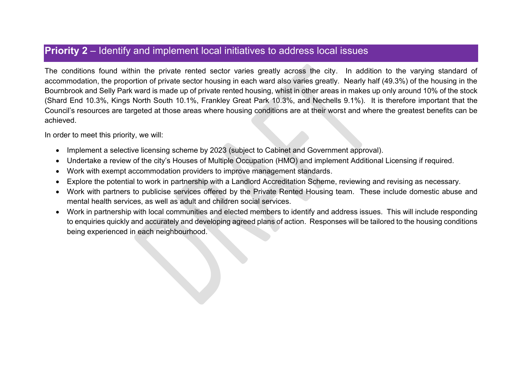### **Priority 2** – Identify and implement local initiatives to address local issues

The conditions found within the private rented sector varies greatly across the city. In addition to the varying standard of accommodation, the proportion of private sector housing in each ward also varies greatly. Nearly half (49.3%) of the housing in the Bournbrook and Selly Park ward is made up of private rented housing, whist in other areas in makes up only around 10% of the stock (Shard End 10.3%, Kings North South 10.1%, Frankley Great Park 10.3%, and Nechells 9.1%). It is therefore important that the Council's resources are targeted at those areas where housing conditions are at their worst and where the greatest benefits can be achieved.

In order to meet this priority, we will:

- Implement a selective licensing scheme by 2023 (subject to Cabinet and Government approval).
- Undertake a review of the city's Houses of Multiple Occupation (HMO) and implement Additional Licensing if required.
- Work with exempt accommodation providers to improve management standards.
- Explore the potential to work in partnership with a Landlord Accreditation Scheme, reviewing and revising as necessary.
- Work with partners to publicise services offered by the Private Rented Housing team. These include domestic abuse and mental health services, as well as adult and children social services.
- Work in partnership with local communities and elected members to identify and address issues. This will include responding to enquiries quickly and accurately and developing agreed plans of action. Responses will be tailored to the housing conditions being experienced in each neighbourhood.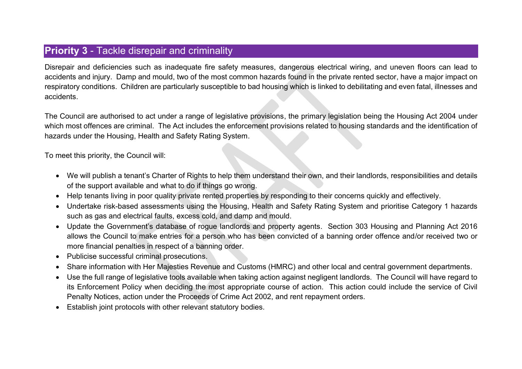## **Priority 3** - Tackle disrepair and criminality

Disrepair and deficiencies such as inadequate fire safety measures, dangerous electrical wiring, and uneven floors can lead to accidents and injury. Damp and mould, two of the most common hazards found in the private rented sector, have a major impact on respiratory conditions. Children are particularly susceptible to bad housing which is linked to debilitating and even fatal, illnesses and accidents.

The Council are authorised to act under a range of legislative provisions, the primary legislation being the Housing Act 2004 under which most offences are criminal. The Act includes the enforcement provisions related to housing standards and the identification of hazards under the Housing, Health and Safety Rating System.

To meet this priority, the Council will:

- We will publish a tenant's Charter of Rights to help them understand their own, and their landlords, responsibilities and details of the support available and what to do if things go wrong.
- Help tenants living in poor quality private rented properties by responding to their concerns quickly and effectively.
- Undertake risk-based assessments using the Housing, Health and Safety Rating System and prioritise Category 1 hazards such as gas and electrical faults, excess cold, and damp and mould.
- Update the Government's database of rogue landlords and property agents. Section 303 Housing and Planning Act 2016 allows the Council to make entries for a person who has been convicted of a banning order offence and/or received two or more financial penalties in respect of a banning order.
- Publicise successful criminal prosecutions.
- Share information with Her Majesties Revenue and Customs (HMRC) and other local and central government departments.
- Use the full range of legislative tools available when taking action against negligent landlords. The Council will have regard to its Enforcement Policy when deciding the most appropriate course of action. This action could include the service of Civil Penalty Notices, action under the Proceeds of Crime Act 2002, and rent repayment orders.
- Establish joint protocols with other relevant statutory bodies.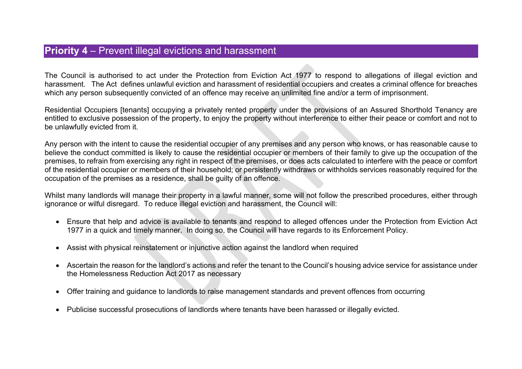### **Priority 4** – Prevent illegal evictions and harassment

The Council is authorised to act under the Protection from Eviction Act 1977 to respond to allegations of illegal eviction and harassment. The Act defines unlawful eviction and harassment of residential occupiers and creates a criminal offence for breaches which any person subsequently convicted of an offence may receive an unlimited fine and/or a term of imprisonment.

Residential Occupiers [tenants] occupying a privately rented property under the provisions of an Assured Shorthold Tenancy are entitled to exclusive possession of the property, to enjoy the property without interference to either their peace or comfort and not to be unlawfully evicted from it.

Any person with the intent to cause the residential occupier of any premises and any person who knows, or has reasonable cause to believe the conduct committed is likely to cause the residential occupier or members of their family to give up the occupation of the premises, to refrain from exercising any right in respect of the premises, or does acts calculated to interfere with the peace or comfort of the residential occupier or members of their household; or persistently withdraws or withholds services reasonably required for the occupation of the premises as a residence, shall be guilty of an offence.

Whilst many landlords will manage their property in a lawful manner, some will not follow the prescribed procedures, either through ignorance or wilful disregard. To reduce illegal eviction and harassment, the Council will:

- Ensure that help and advice is available to tenants and respond to alleged offences under the Protection from Eviction Act 1977 in a quick and timely manner. In doing so, the Council will have regards to its Enforcement Policy.
- Assist with physical reinstatement or injunctive action against the landlord when required
- Ascertain the reason for the landlord's actions and refer the tenant to the Council's housing advice service for assistance under the Homelessness Reduction Act 2017 as necessary
- Offer training and guidance to landlords to raise management standards and prevent offences from occurring
- Publicise successful prosecutions of landlords where tenants have been harassed or illegally evicted.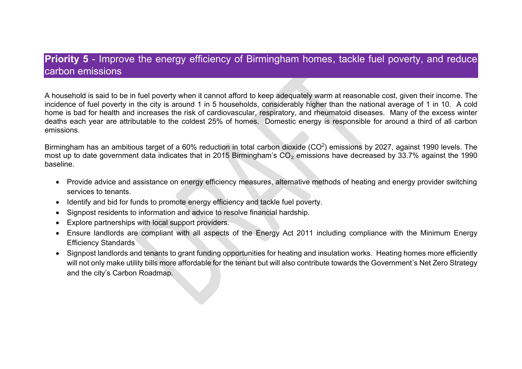## **Priority 5** - Improve the energy efficiency of Birmingham homes, tackle fuel poverty, and reduce carbon emissions

A household is said to be in fuel poverty when it cannot afford to keep adequately warm at reasonable cost, given their income. The incidence of fuel poverty in the city is around 1 in 5 households, considerably higher than the national average of 1 in 10. A cold home is bad for health and increases the risk of cardiovascular, respiratory, and rheumatoid diseases. Many of the excess winter deaths each year are attributable to the coldest 25% of homes. Domestic energy is responsible for around a third of all carbon emissions.

Birmingham has an ambitious target of a 60% reduction in total carbon dioxide (CO<sup>2</sup>) emissions by 2027, against 1990 levels. The most up to date government data indicates that in 2015 Birmingham's CO<sub>2</sub> emissions have decreased by 33.7% against the 1990 baseline.

- Provide advice and assistance on energy efficiency measures, alternative methods of heating and energy provider switching services to tenants.
- Identify and bid for funds to promote energy efficiency and tackle fuel poverty.
- Signpost residents to information and advice to resolve financial hardship.
- Explore partnerships with local support providers.
- Ensure landlords are compliant with all aspects of the Energy Act 2011 including compliance with the Minimum Energy Efficiency Standards
- Signpost landlords and tenants to grant funding opportunities for heating and insulation works. Heating homes more efficiently will not only make utility bills more affordable for the tenant but will also contribute towards the Government's Net Zero Strategy and the city's Carbon Roadmap.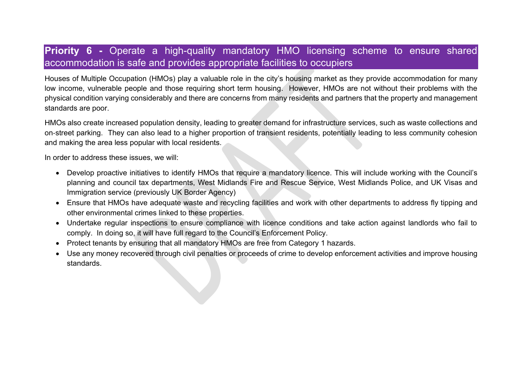## **Priority 6 -** Operate a high-quality mandatory HMO licensing scheme to ensure shared accommodation is safe and provides appropriate facilities to occupiers

Houses of Multiple Occupation (HMOs) play a valuable role in the city's housing market as they provide accommodation for many low income, vulnerable people and those requiring short term housing. However, HMOs are not without their problems with the physical condition varying considerably and there are concerns from many residents and partners that the property and management standards are poor.

HMOs also create increased population density, leading to greater demand for infrastructure services, such as waste collections and on‐street parking. They can also lead to a higher proportion of transient residents, potentially leading to less community cohesion and making the area less popular with local residents.

In order to address these issues, we will:

- Develop proactive initiatives to identify HMOs that require a mandatory licence. This will include working with the Council's planning and council tax departments, West Midlands Fire and Rescue Service, West Midlands Police, and UK Visas and Immigration service (previously UK Border Agency)
- Ensure that HMOs have adequate waste and recycling facilities and work with other departments to address fly tipping and other environmental crimes linked to these properties.
- Undertake regular inspections to ensure compliance with licence conditions and take action against landlords who fail to comply. In doing so, it will have full regard to the Council's Enforcement Policy.
- Protect tenants by ensuring that all mandatory HMOs are free from Category 1 hazards.
- Use any money recovered through civil penalties or proceeds of crime to develop enforcement activities and improve housing standards.